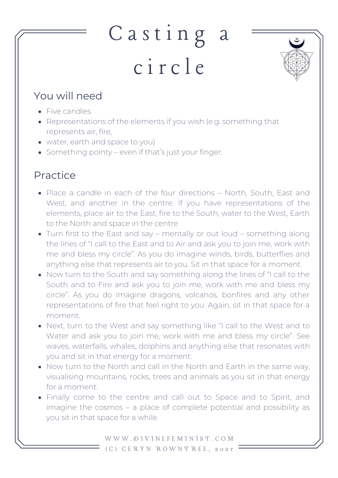## Casting a c i r c l e



## You will need

- Five candles
- Representations of the elements if you wish (e.g. something that represents air, fire,
- water, earth and space to you)
- Something pointy even if that's just your finger.

## Practice

- Place a candle in each of the four directions North, South, East and West, and another in the centre. If you have representations of the elements, place air to the East, fire to the South, water to the West, Earth to the North and space in the centre
- Turn first to the East and say mentally or out loud something along the lines of "I call to the East and to Air and ask you to join me, work with me and bless my circle". As you do imagine winds, birds, butterflies and anything else that represents air to you. Sit in that space for a moment.
- Now turn to the South and say something along the lines of "I call to the South and to Fire and ask you to join me, work with me and bless my circle". As you do imagine dragons, volcanos, bonfires and any other representations of fire that feel right to you. Again, sit in that space for a moment.
- Next, turn to the West and say something like "I call to the West and to Water and ask you to join me, work with me and bless my circle". See waves, waterfalls, whales, dolphins and anything else that resonates with you and sit in that energy for a moment.
- Now turn to the North and call in the North and Earth in the same way, visualising mountains, rocks, trees and animals as you sit in that energy for a moment.
- Finally come to the centre and call out to Space and to Spirit, and imagine the cosmos – a place of complete potential and possibility as you sit in that space for a while.

W W W . D I V I N E F E M I N I S T . C O M ( C ) C E R Y N R O W N T R E E , 2 0 2 1